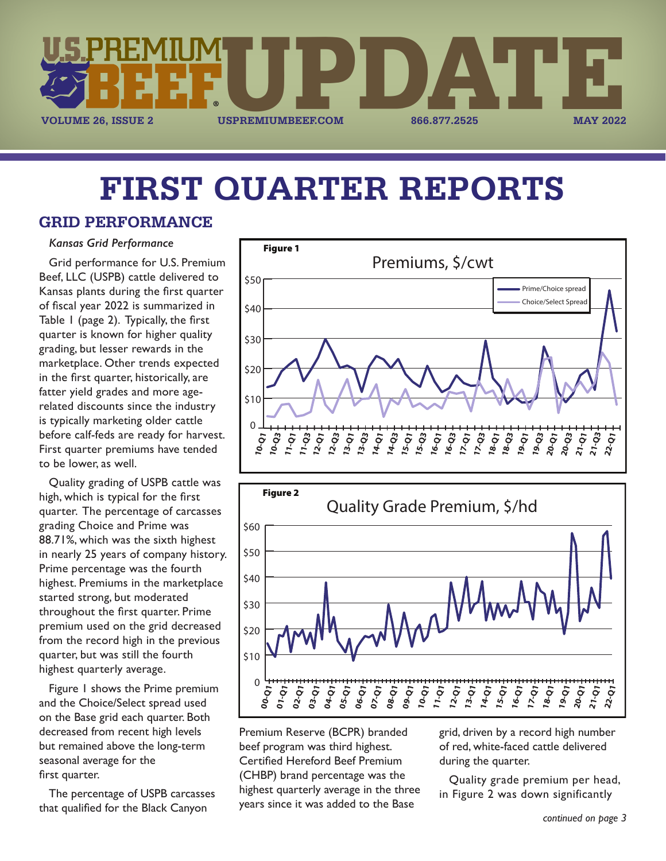

# **FIRST QUARTER REPORTS**

## **GRID PERFORMANCE**

#### *Kansas Grid Performance*

Grid performance for U.S. Premium Beef, LLC (USPB) cattle delivered to Kansas plants during the first quarter of fiscal year 2022 is summarized in Table 1 (page 2). Typically, the first quarter is known for higher quality grading, but lesser rewards in the marketplace. Other trends expected in the first quarter, historically, are fatter yield grades and more agerelated discounts since the industry is typically marketing older cattle before calf-feds are ready for harvest. First quarter premiums have tended to be lower, as well.

Quality grading of USPB cattle was high, which is typical for the first quarter. The percentage of carcasses grading Choice and Prime was 88.71%, which was the sixth highest in nearly 25 years of company history. Prime percentage was the fourth highest. Premiums in the marketplace started strong, but moderated throughout the first quarter. Prime premium used on the grid decreased from the record high in the previous quarter, but was still the fourth highest quarterly average.

Figure 1 shows the Prime premium and the Choice/Select spread used on the Base grid each quarter. Both decreased from recent high levels but remained above the long-term seasonal average for the first quarter.

The percentage of USPB carcasses that qualified for the Black Canyon





Premium Reserve (BCPR) branded beef program was third highest. Certified Hereford Beef Premium (CHBP) brand percentage was the highest quarterly average in the three years since it was added to the Base

grid, driven by a record high number of red, white-faced cattle delivered during the quarter.

Quality grade premium per head, in Figure 2 was down significantly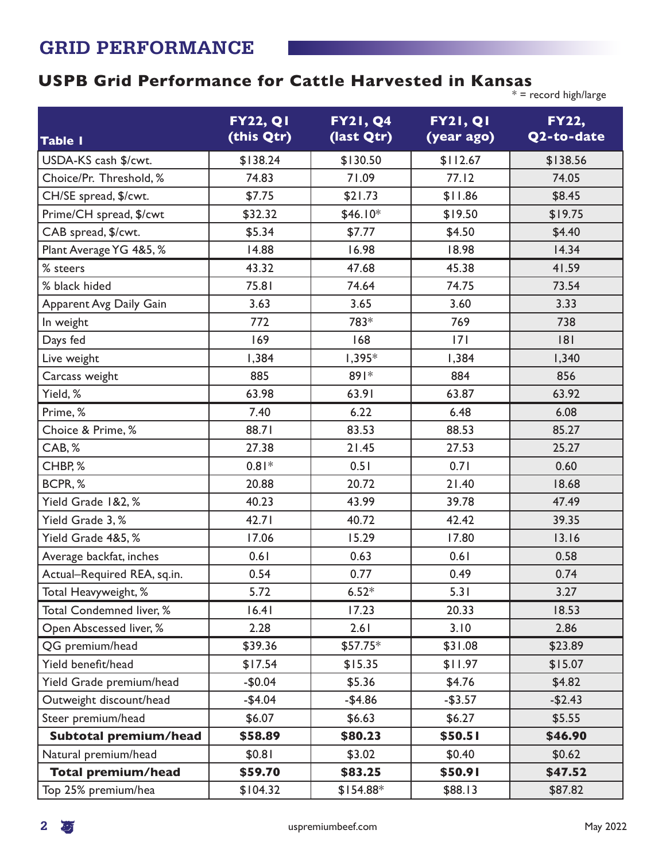# **USPB Grid Performance for Cattle Harvested in Kansas**

 $*$  = record high/large

|                             | <b>FY22, QI</b> | <b>FY21, Q4</b> | <b>FY21, Q1</b> | <b>FY22,</b> |
|-----------------------------|-----------------|-----------------|-----------------|--------------|
| <b>Table I</b>              | (this Qtr)      | (last Qtr)      | (year ago)      | Q2-to-date   |
| USDA-KS cash \$/cwt.        | \$138.24        | \$130.50        | \$112.67        | \$138.56     |
| Choice/Pr. Threshold, %     | 74.83           | 71.09           | 77.12           | 74.05        |
| CH/SE spread, \$/cwt.       | \$7.75          | \$21.73         | \$11.86         | \$8.45       |
| Prime/CH spread, \$/cwt     | \$32.32         | $$46.10*$       | \$19.50         | \$19.75      |
| CAB spread, \$/cwt.         | \$5.34          | \$7.77          | \$4.50          | \$4.40       |
| Plant Average YG 4&5, %     | 14.88           | 16.98           | 18.98           | 14.34        |
| % steers                    | 43.32           | 47.68           | 45.38           | 41.59        |
| % black hided               | 75.81           | 74.64           | 74.75           | 73.54        |
| Apparent Avg Daily Gain     | 3.63            | 3.65            | 3.60            | 3.33         |
| In weight                   | 772             | 783*            | 769             | 738          |
| Days fed                    | 169             | 168             | 7               | 8            |
| Live weight                 | 1,384           | $1,395*$        | 1,384           | 1,340        |
| Carcass weight              | 885             | $891*$          | 884             | 856          |
| Yield, %                    | 63.98           | 63.91           | 63.87           | 63.92        |
| Prime, %                    | 7.40            | 6.22            | 6.48            | 6.08         |
| Choice & Prime, %           | 88.71           | 83.53           | 88.53           | 85.27        |
| CAB, %                      | 27.38           | 21.45           | 27.53           | 25.27        |
| CHBP, %                     | $0.81*$         | 0.51            | 0.71            | 0.60         |
| BCPR, %                     | 20.88           | 20.72           | 21.40           | 18.68        |
| Yield Grade 1&2,%           | 40.23           | 43.99           | 39.78           | 47.49        |
| Yield Grade 3, %            | 42.71           | 40.72           | 42.42           | 39.35        |
| Yield Grade 4&5, %          | 17.06           | 15.29           | 17.80           | 13.16        |
| Average backfat, inches     | 0.61            | 0.63            | 0.61            | 0.58         |
| Actual-Required REA, sq.in. | 0.54            | 0.77            | 0.49            | 0.74         |
| Total Heavyweight, %        | 5.72            | $6.52*$         | 5.31            | 3.27         |
| Total Condemned liver, %    | 16.41           | 17.23           | 20.33           | 18.53        |
| Open Abscessed liver, %     | 2.28            | 2.61            | 3.10            | 2.86         |
| QG premium/head             | \$39.36         | $$57.75*$       | \$31.08         | \$23.89      |
| Yield benefit/head          | \$17.54         | \$15.35         | \$11.97         | \$15.07      |
| Yield Grade premium/head    | $-$0.04$        | \$5.36          | \$4.76          | \$4.82       |
| Outweight discount/head     | $-$4.04$        | $-$4.86$        | $-$ \$3.57      | $-$2.43$     |
| Steer premium/head          | \$6.07          | \$6.63          | \$6.27          | \$5.55       |
| Subtotal premium/head       | \$58.89         | \$80.23         | \$50.51         | \$46.90      |
| Natural premium/head        | \$0.81          | \$3.02          | \$0.40          | \$0.62       |
| <b>Total premium/head</b>   | \$59.70         | \$83.25         | \$50.91         | \$47.52      |
| Top 25% premium/hea         | \$104.32        | $$154.88*$      | \$88.13         | \$87.82      |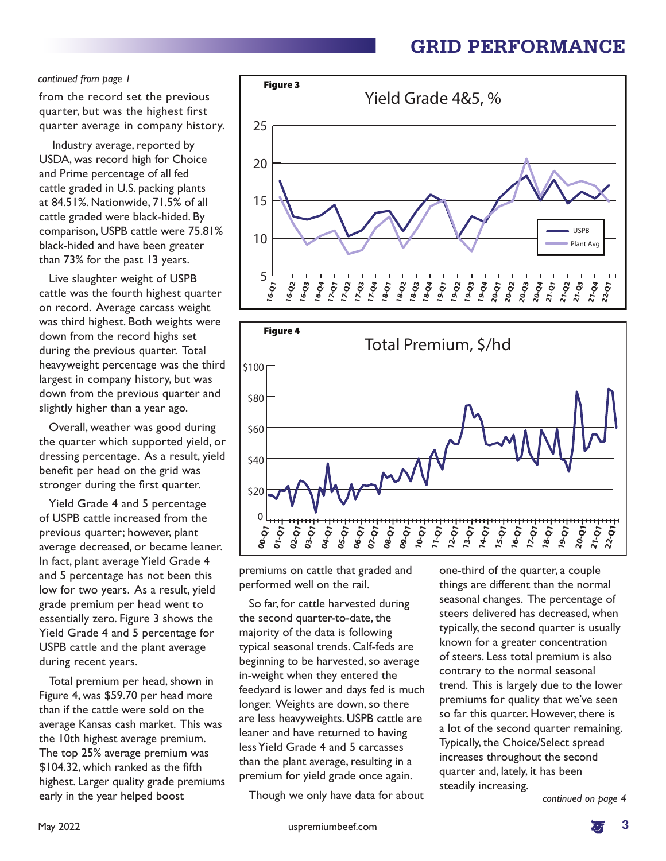#### *continued from page 1*

from the record set the previous quarter, but was the highest first quarter average in company history.

 Industry average, reported by USDA, was record high for Choice and Prime percentage of all fed cattle graded in U.S. packing plants at 84.51%. Nationwide, 71.5% of all cattle graded were black-hided. By comparison, USPB cattle were 75.81% black-hided and have been greater than 73% for the past 13 years.

Live slaughter weight of USPB cattle was the fourth highest quarter on record. Average carcass weight was third highest. Both weights were down from the record highs set during the previous quarter. Total heavyweight percentage was the third largest in company history, but was down from the previous quarter and slightly higher than a year ago.

Overall, weather was good during the quarter which supported yield, or dressing percentage. As a result, yield benefit per head on the grid was stronger during the first quarter.

Yield Grade 4 and 5 percentage of USPB cattle increased from the previous quarter; however, plant average decreased, or became leaner. In fact, plant average Yield Grade 4 and 5 percentage has not been this low for two years. As a result, yield grade premium per head went to essentially zero. Figure 3 shows the Yield Grade 4 and 5 percentage for USPB cattle and the plant average during recent years.

Total premium per head, shown in Figure 4, was \$59.70 per head more than if the cattle were sold on the average Kansas cash market. This was the 10th highest average premium. The top 25% average premium was \$104.32, which ranked as the fifth highest. Larger quality grade premiums early in the year helped boost





premiums on cattle that graded and performed well on the rail.

So far, for cattle harvested during the second quarter-to-date, the majority of the data is following typical seasonal trends. Calf-feds are beginning to be harvested, so average in-weight when they entered the feedyard is lower and days fed is much longer. Weights are down, so there are less heavyweights. USPB cattle are leaner and have returned to having less Yield Grade 4 and 5 carcasses than the plant average, resulting in a premium for yield grade once again.

Though we only have data for about

one-third of the quarter, a couple things are different than the normal seasonal changes. The percentage of steers delivered has decreased, when typically, the second quarter is usually known for a greater concentration of steers. Less total premium is also contrary to the normal seasonal trend. This is largely due to the lower premiums for quality that we've seen so far this quarter. However, there is a lot of the second quarter remaining. Typically, the Choice/Select spread increases throughout the second quarter and, lately, it has been steadily increasing.

*continued on page 4*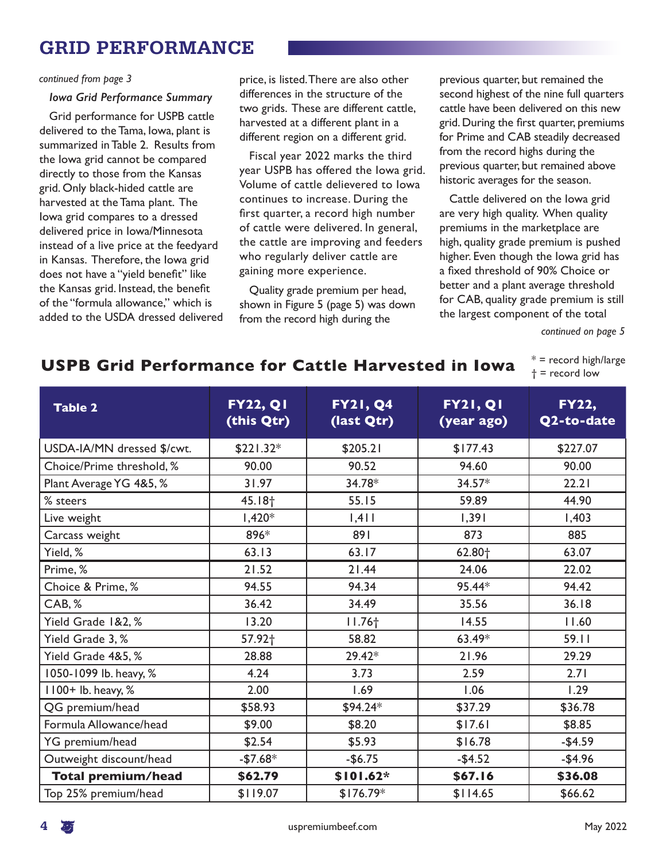#### *continued from page 3*

#### *Iowa Grid Performance Summary*

Grid performance for USPB cattle delivered to the Tama, Iowa, plant is summarized in Table 2. Results from the Iowa grid cannot be compared directly to those from the Kansas grid. Only black-hided cattle are harvested at the Tama plant. The Iowa grid compares to a dressed delivered price in Iowa/Minnesota instead of a live price at the feedyard in Kansas. Therefore, the Iowa grid does not have a "yield benefit" like the Kansas grid. Instead, the benefit of the "formula allowance," which is added to the USDA dressed delivered price, is listed. There are also other differences in the structure of the two grids. These are different cattle, harvested at a different plant in a different region on a different grid.

Fiscal year 2022 marks the third year USPB has offered the Iowa grid. Volume of cattle delievered to Iowa continues to increase. During the first quarter, a record high number of cattle were delivered. In general, the cattle are improving and feeders who regularly deliver cattle are gaining more experience.

Quality grade premium per head, shown in Figure 5 (page 5) was down from the record high during the

previous quarter, but remained the second highest of the nine full quarters cattle have been delivered on this new grid. During the first quarter, premiums for Prime and CAB steadily decreased from the record highs during the previous quarter, but remained above historic averages for the season.

Cattle delivered on the Iowa grid are very high quality. When quality premiums in the marketplace are high, quality grade premium is pushed higher. Even though the Iowa grid has a fixed threshold of 90% Choice or better and a plant average threshold for CAB, quality grade premium is still the largest component of the total

*continued on page 5*

### **USPB Grid Performance for Cattle Harvested in Iowa**

 $*$  = record high/large † = record low

| <b>Table 2</b>             | <b>FY22, Q1</b><br>(this Qtr) | <b>FY21, Q4</b><br>(last Qtr) | <b>FY21, Q1</b><br>(year ago) | <b>FY22,</b><br>Q2-to-date |
|----------------------------|-------------------------------|-------------------------------|-------------------------------|----------------------------|
| USDA-IA/MN dressed \$/cwt. | $$221.32*$                    | \$205.21                      | \$177.43                      | \$227.07                   |
| Choice/Prime threshold, %  | 90.00                         | 90.52                         | 94.60                         | 90.00                      |
| Plant Average YG 4&5, %    | 31.97                         | 34.78*                        | $34.57*$                      | 22.21                      |
| % steers                   | 45.18 <sup>+</sup>            | 55.15                         | 59.89                         | 44.90                      |
| Live weight                | $1,420*$                      | 1,411                         | 1,391                         | 1,403                      |
| Carcass weight             | 896*                          | 891                           | 873                           | 885                        |
| Yield, %                   | 63.13                         | 63.17                         | 62.80 <sup>+</sup>            | 63.07                      |
| Prime, %                   | 21.52                         | 21.44                         | 24.06                         | 22.02                      |
| Choice & Prime, %          | 94.55                         | 94.34                         | 95.44*                        | 94.42                      |
| CAB, %                     | 36.42                         | 34.49                         | 35.56                         | 36.18                      |
| Yield Grade 1&2, %         | 13.20                         | $11.76+$                      | 14.55                         | 11.60                      |
| Yield Grade 3, %           | 57.92 <sup>+</sup>            | 58.82                         | 63.49*                        | 59.11                      |
| Yield Grade 4&5, %         | 28.88                         | 29.42*                        | 21.96                         | 29.29                      |
| 1050-1099 lb. heavy, %     | 4.24                          | 3.73                          | 2.59                          | 2.71                       |
| 1100+ lb. heavy, %         | 2.00                          | 1.69                          | 1.06                          | 1.29                       |
| QG premium/head            | \$58.93                       | $$94.24*$                     | \$37.29                       | \$36.78                    |
| Formula Allowance/head     | \$9.00                        | \$8.20                        | \$17.61                       | \$8.85                     |
| YG premium/head            | \$2.54                        | \$5.93                        | \$16.78                       | $-$4.59$                   |
| Outweight discount/head    | $-$ \$7.68 $*$                | $-$6.75$                      | $-$4.52$                      | $-$4.96$                   |
| <b>Total premium/head</b>  | \$62.79                       | \$101.62*                     | \$67.16                       | \$36.08                    |
| Top 25% premium/head       | \$119.07                      | $$176.79*$                    | \$114.65                      | \$66.62                    |